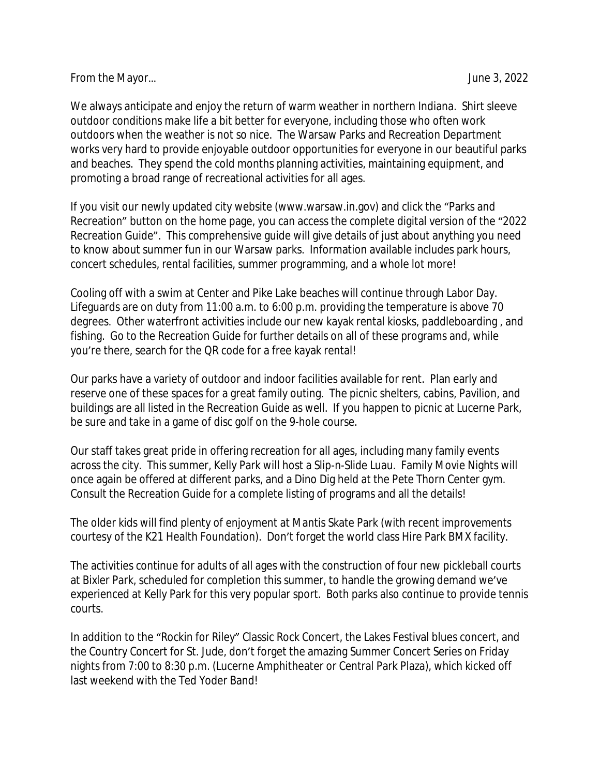## From the Mayor... **From the Mayor** Serverse and the Mayor Serverse and the Serverse and the Serverse and the Serverse and the Serverse and the Serverse and the Serverse and the Serverse and the Serverse and the Serverse an

We always anticipate and enjoy the return of warm weather in northern Indiana. Shirt sleeve outdoor conditions make life a bit better for everyone, including those who often work outdoors when the weather is not so nice. The Warsaw Parks and Recreation Department works very hard to provide enjoyable outdoor opportunities for everyone in our beautiful parks and beaches. They spend the cold months planning activities, maintaining equipment, and promoting a broad range of recreational activities for all ages.

If you visit our newly updated city website (www.warsaw.in.gov) and click the "Parks and Recreation" button on the home page, you can access the complete digital version of the "2022 Recreation Guide". This comprehensive guide will give details of just about anything you need to know about summer fun in our Warsaw parks. Information available includes park hours, concert schedules, rental facilities, summer programming, and a whole lot more!

Cooling off with a swim at Center and Pike Lake beaches will continue through Labor Day. Lifeguards are on duty from 11:00 a.m. to 6:00 p.m. providing the temperature is above 70 degrees. Other waterfront activities include our new kayak rental kiosks, paddleboarding , and fishing. Go to the Recreation Guide for further details on all of these programs and, while you're there, search for the QR code for a free kayak rental!

Our parks have a variety of outdoor and indoor facilities available for rent. Plan early and reserve one of these spaces for a great family outing. The picnic shelters, cabins, Pavilion, and buildings are all listed in the Recreation Guide as well. If you happen to picnic at Lucerne Park, be sure and take in a game of disc golf on the 9-hole course.

Our staff takes great pride in offering recreation for all ages, including many family events across the city. This summer, Kelly Park will host a Slip-n-Slide Luau. Family Movie Nights will once again be offered at different parks, and a Dino Dig held at the Pete Thorn Center gym. Consult the Recreation Guide for a complete listing of programs and all the details!

The older kids will find plenty of enjoyment at Mantis Skate Park (with recent improvements courtesy of the K21 Health Foundation). Don't forget the world class Hire Park BMX facility.

The activities continue for adults of all ages with the construction of four new pickleball courts at Bixler Park, scheduled for completion this summer, to handle the growing demand we've experienced at Kelly Park for this very popular sport. Both parks also continue to provide tennis courts.

In addition to the "Rockin for Riley" Classic Rock Concert, the Lakes Festival blues concert, and the Country Concert for St. Jude, don't forget the amazing Summer Concert Series on Friday nights from 7:00 to 8:30 p.m. (Lucerne Amphitheater or Central Park Plaza), which kicked off last weekend with the Ted Yoder Band!